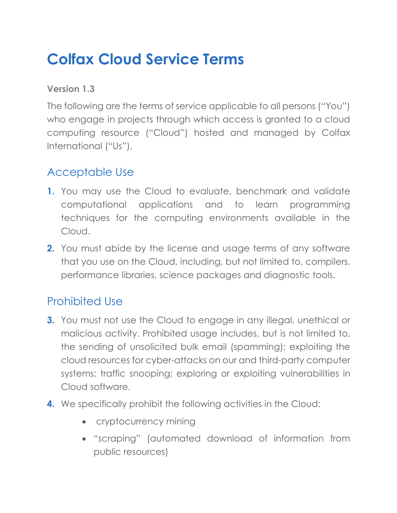# **Colfax Cloud Service Terms**

**Version 1.3**

The following are the terms of service applicable to all persons ("You") who engage in projects through which access is granted to a cloud computing resource ("Cloud") hosted and managed by Colfax International ("Us").

#### Acceptable Use

- **1.** You may use the Cloud to evaluate, benchmark and validate computational applications and to learn programming techniques for the computing environments available in the Cloud.
- **2.** You must abide by the license and usage terms of any software that you use on the Cloud, including, but not limited to, compilers, performance libraries, science packages and diagnostic tools.

# Prohibited Use

- **3.** You must not use the Cloud to engage in any illegal, unethical or malicious activity. Prohibited usage includes, but is not limited to, the sending of unsolicited bulk email (spamming); exploiting the cloud resources for cyber-attacks on our and third-party computer systems; traffic snooping; exploring or exploiting vulnerabilities in Cloud software.
- **4.** We specifically prohibit the following activities in the Cloud:
	- cryptocurrency mining
	- "scraping" (automated download of information from public resources)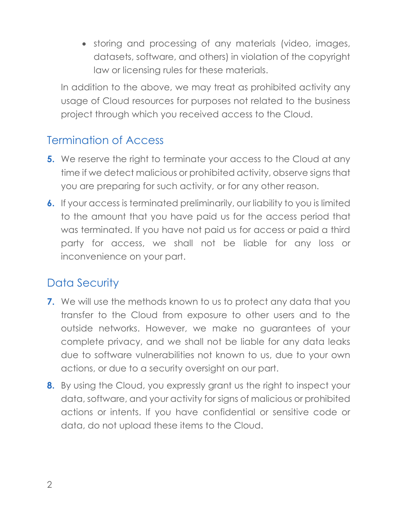• storing and processing of any materials (video, images, datasets, software, and others) in violation of the copyright law or licensing rules for these materials.

In addition to the above, we may treat as prohibited activity any usage of Cloud resources for purposes not related to the business project through which you received access to the Cloud.

#### Termination of Access

- **5.** We reserve the right to terminate your access to the Cloud at any time if we detect malicious or prohibited activity, observe signs that you are preparing for such activity, or for any other reason.
- **6.** If your access is terminated preliminarily, our liability to you is limited to the amount that you have paid us for the access period that was terminated. If you have not paid us for access or paid a third party for access, we shall not be liable for any loss or inconvenience on your part.

### Data Security

- **7.** We will use the methods known to us to protect any data that you transfer to the Cloud from exposure to other users and to the outside networks. However, we make no guarantees of your complete privacy, and we shall not be liable for any data leaks due to software vulnerabilities not known to us, due to your own actions, or due to a security oversight on our part.
- **8.** By using the Cloud, you expressly grant us the right to inspect your data, software, and your activity for signs of malicious or prohibited actions or intents. If you have confidential or sensitive code or data, do not upload these items to the Cloud.